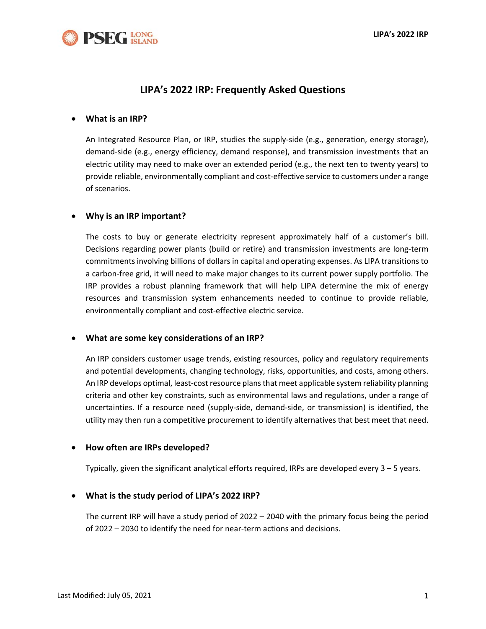

# **LIPA's 2022 IRP: Frequently Asked Questions**

#### • **What is an IRP?**

An Integrated Resource Plan, or IRP, studies the supply-side (e.g., generation, energy storage), demand-side (e.g., energy efficiency, demand response), and transmission investments that an electric utility may need to make over an extended period (e.g., the next ten to twenty years) to provide reliable, environmentally compliant and cost-effective service to customers under a range of scenarios.

#### • **Why is an IRP important?**

The costs to buy or generate electricity represent approximately half of a customer's bill. Decisions regarding power plants (build or retire) and transmission investments are long-term commitments involving billions of dollars in capital and operating expenses. As LIPA transitions to a carbon-free grid, it will need to make major changes to its current power supply portfolio. The IRP provides a robust planning framework that will help LIPA determine the mix of energy resources and transmission system enhancements needed to continue to provide reliable, environmentally compliant and cost-effective electric service.

#### • **What are some key considerations of an IRP?**

An IRP considers customer usage trends, existing resources, policy and regulatory requirements and potential developments, changing technology, risks, opportunities, and costs, among others. An IRP develops optimal, least-cost resource plans that meet applicable system reliability planning criteria and other key constraints, such as environmental laws and regulations, under a range of uncertainties. If a resource need (supply-side, demand-side, or transmission) is identified, the utility may then run a competitive procurement to identify alternatives that best meet that need.

#### • **How often are IRPs developed?**

Typically, given the significant analytical efforts required, IRPs are developed every 3 – 5 years.

#### • **What is the study period of LIPA's 2022 IRP?**

The current IRP will have a study period of 2022 – 2040 with the primary focus being the period of 2022 – 2030 to identify the need for near-term actions and decisions.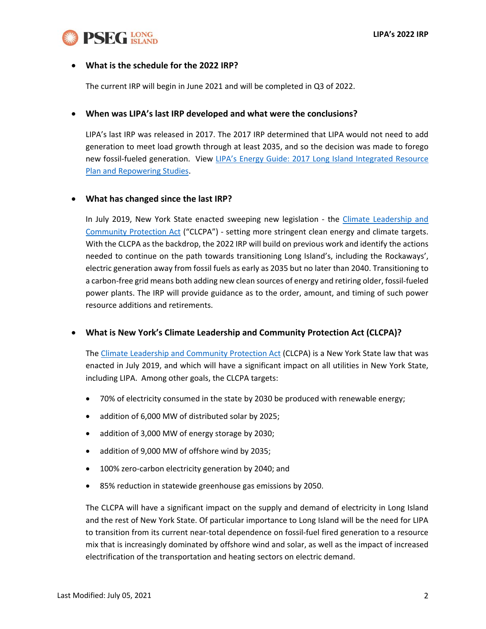

#### • **What is the schedule for the 2022 IRP?**

The current IRP will begin in June 2021 and will be completed in Q3 of 2022.

#### • **When was LIPA's last IRP developed and what were the conclusions?**

LIPA's last IRP was released in 2017. The 2017 IRP determined that LIPA would not need to add generation to meet load growth through at least 2035, and so the decision was made to forego new fossil-fueled generation. View [LIPA's Energy Guide: 2017 Long Island Integrated Resource](https://www.lipower.org/wp-content/uploads/2016/10/LIPA_EnergyGuide206x9204_22_1720FINAL1.pdf)  [Plan and Repowering Studies.](https://www.lipower.org/wp-content/uploads/2016/10/LIPA_EnergyGuide206x9204_22_1720FINAL1.pdf)

#### • **What has changed since the last IRP?**

In July 2019, New York State enacted sweeping new legislation - the [Climate Leadership and](https://climate.ny.gov/)  [Community Protection Act](https://climate.ny.gov/) ("CLCPA") - setting more stringent clean energy and climate targets. With the CLCPA as the backdrop, the 2022 IRP will build on previous work and identify the actions needed to continue on the path towards transitioning Long Island's, including the Rockaways', electric generation away from fossil fuels as early as 2035 but no later than 2040. Transitioning to a carbon-free grid means both adding new clean sources of energy and retiring older, fossil-fueled power plants. The IRP will provide guidance as to the order, amount, and timing of such power resource additions and retirements.

#### • **What is New York's Climate Leadership and Community Protection Act (CLCPA)?**

The [Climate Leadership and Community Protection Act](https://climate.ny.gov/) (CLCPA) is a New York State law that was enacted in July 2019, and which will have a significant impact on all utilities in New York State, including LIPA. Among other goals, the CLCPA targets:

- 70% of electricity consumed in the state by 2030 be produced with renewable energy;
- addition of 6,000 MW of distributed solar by 2025;
- addition of 3,000 MW of energy storage by 2030;
- addition of 9,000 MW of offshore wind by 2035;
- 100% zero-carbon electricity generation by 2040; and
- 85% reduction in statewide greenhouse gas emissions by 2050.

The CLCPA will have a significant impact on the supply and demand of electricity in Long Island and the rest of New York State. Of particular importance to Long Island will be the need for LIPA to transition from its current near-total dependence on fossil-fuel fired generation to a resource mix that is increasingly dominated by offshore wind and solar, as well as the impact of increased electrification of the transportation and heating sectors on electric demand.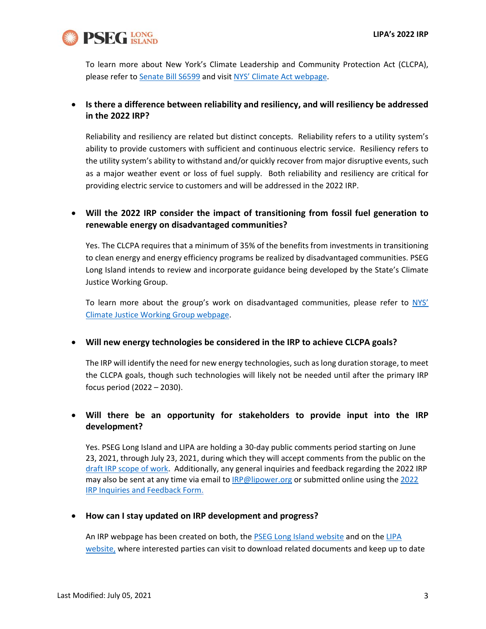

To learn more about New York's Climate Leadership and Community Protection Act (CLCPA), please refer t[o Senate Bill S6599](https://www.nysenate.gov/legislation/bills/2019/s6599) and visi[t NYS' Climate Act webpage.](https://climate.ny.gov/)

### • **Is there a difference between reliability and resiliency, and will resiliency be addressed in the 2022 IRP?**

Reliability and resiliency are related but distinct concepts. Reliability refers to a utility system's ability to provide customers with sufficient and continuous electric service. Resiliency refers to the utility system's ability to withstand and/or quickly recover from major disruptive events, such as a major weather event or loss of fuel supply. Both reliability and resiliency are critical for providing electric service to customers and will be addressed in the 2022 IRP.

## • **Will the 2022 IRP consider the impact of transitioning from fossil fuel generation to renewable energy on disadvantaged communities?**

Yes. The CLCPA requires that a minimum of 35% of the benefits from investments in transitioning to clean energy and energy efficiency programs be realized by disadvantaged communities. PSEG Long Island intends to review and incorporate guidance being developed by the State's Climate Justice Working Group.

To learn more about the group's work on disadvantaged communities, please refer to [NYS'](https://climate.ny.gov/Climate-Justice-Working-Group)  [Climate Justice Working Group webpage.](https://climate.ny.gov/Climate-Justice-Working-Group)

### • **Will new energy technologies be considered in the IRP to achieve CLCPA goals?**

The IRP will identify the need for new energy technologies, such as long duration storage, to meet the CLCPA goals, though such technologies will likely not be needed until after the primary IRP focus period (2022 – 2030).

## • **Will there be an opportunity for stakeholders to provide input into the IRP development?**

Yes. PSEG Long Island and LIPA are holding a 30-day public comments period starting on June 23, 2021, through July 23, 2021, during which they will accept comments from the public on the [draft IRP scope of work.](https://www.psegliny.com/aboutpseglongisland/-/media/F6EA0ABEF0B24A2397BFED44C03FDFCF.ashx) Additionally, any general inquiries and feedback regarding the 2022 IRP may also be sent at any time via email to **[IRP@lipower.org](mailto:IRP@lipower.org)** or submitted online using the 2022 [IRP Inquiries and Feedback Form.](https://www.psegliny.com/aboutpseglongisland/2022irp/commentform)

#### • **How can I stay updated on IRP development and progress?**

An IRP webpage has been created on both, the [PSEG Long Island website](https://www.psegliny.com/aboutpseglongisland/2022irp) and on the [LIPA](http://lipower.org/IRP)  [website,](http://lipower.org/IRP) where interested parties can visit to download related documents and keep up to date